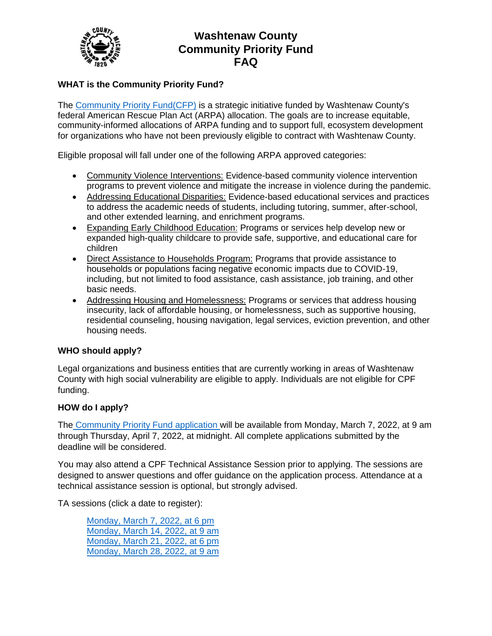

# **Washtenaw County Community Priority Fund FAQ**

## **WHAT is the Community Priority Fund?**

The [Community Priority Fund\(CFP\)](https://www.washtenaw.org/3427/Washtenaw-Rescue-Plan) is a strategic initiative funded by Washtenaw County's federal American Rescue Plan Act (ARPA) allocation. The goals are to increase equitable, community-informed allocations of ARPA funding and to support full, ecosystem development for organizations who have not been previously eligible to contract with Washtenaw County.

Eligible proposal will fall under one of the following ARPA approved categories:

- Community Violence Interventions: Evidence-based community violence intervention programs to prevent violence and mitigate the increase in violence during the pandemic.
- Addressing Educational Disparities: Evidence-based educational services and practices to address the academic needs of students, including tutoring, summer, after-school, and other extended learning, and enrichment programs.
- Expanding Early Childhood Education: Programs or services help develop new or expanded high-quality childcare to provide safe, supportive, and educational care for children
- Direct Assistance to Households Program: Programs that provide assistance to households or populations facing negative economic impacts due to COVID-19, including, but not limited to food assistance, cash assistance, job training, and other basic needs.
- Addressing Housing and Homelessness: Programs or services that address housing insecurity, lack of affordable housing, or homelessness, such as supportive housing, residential counseling, housing navigation, legal services, eviction prevention, and other housing needs.

### **WHO should apply?**

Legal organizations and business entities that are currently working in areas of Washtenaw County with high social vulnerability are eligible to apply. Individuals are not eligible for CPF funding.

#### **HOW do I apply?**

The [Community Priority Fund application w](https://ewashtenaw.formstack.com/forms/community_priority_fund_application_round_1)ill be available from Monday, March 7, 2022, at 9 am through Thursday, April 7, 2022, at midnight. All complete applications submitted by the deadline will be considered.

You may also attend a CPF Technical Assistance Session prior to applying. The sessions are designed to answer questions and offer guidance on the application process. Attendance at a technical assistance session is optional, but strongly advised.

TA sessions (click a date to register):

[Monday, March 7, 2022, at 6 pm](https://washtenawcounty.zoom.us/meeting/register/tZIkcOuorTIsGdH0t2XNhHl2cNy-WVQPIVFC) [Monday, March 14, 2022,](https://washtenawcounty.zoom.us/meeting/register/tZMkduitrTIrEtXC0DTSAxWXvlJbxdq0reaT) at 9 am [Monday, March 21, 2022, at 6 pm](https://washtenawcounty.zoom.us/meeting/register/tZUkcemorDIiGtEU2Gw__qsOva2TY6_D6vdg) [Monday, March 28, 2022, at 9 am](https://washtenawcounty.zoom.us/meeting/register/tZYlfu2rrzgqGtE8PNG41R3WtkPYdMOKzPpU)